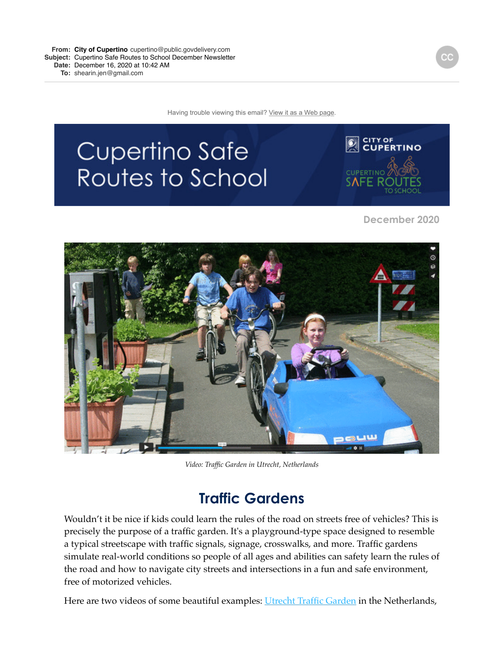**From: City of [Cupertino](mailto:Cupertinocupertino@public.govdelivery.com)** [cupertino@public.govdelivery.com](mailto:Cupertinocupertino@public.govdelivery.com) **Subject:** Cupertino Safe Routes to School December Newsletter **Date:** December 16, 2020 at 10:42 AM

**To:** [shearin.jen@gmail.com](mailto:shearin.jen@gmail.com)

Having trouble viewing this email? [View it as a Web page](https://lnks.gd/l/eyJhbGciOiJIUzI1NiJ9.eyJidWxsZXRpbl9saW5rX2lkIjoxMDAsInVyaSI6ImJwMjpjbGljayIsImJ1bGxldGluX2lkIjoiMjAyMDEyMTYuMzIxMjI2MDEiLCJ1cmwiOiJodHRwczovL2NvbnRlbnQuZ292ZGVsaXZlcnkuY29tL2FjY291bnRzL0NBQ1VQRVJUSU5PL2J1bGxldGlucy8yYWY2MWJmIn0.wkYhKuCwrbJdLtP8yIExVmpOrtOmLUlm3fVhFCuBhdI/s/1253704401/br/91992471265-l).

# Cupertino Safe Routes to School



 **December 2020**



*Video: Traffic Garden in Utrecht, Netherlands*

### **Traffic Gardens**

Wouldn't it be nice if kids could learn the rules of the road on streets free of vehicles? This is precisely the purpose of a traffic garden. It's a playground-type space designed to resemble a typical streetscape with traffic signals, signage, crosswalks, and more. Traffic gardens simulate real-world conditions so people of all ages and abilities can safety learn the rules of the road and how to navigate city streets and intersections in a fun and safe environment, free of motorized vehicles.

Here are two videos of some beautiful examples: [Utrecht Traffic Garden](https://lnks.gd/l/eyJhbGciOiJIUzI1NiJ9.eyJidWxsZXRpbl9saW5rX2lkIjoxMDMsInVyaSI6ImJwMjpjbGljayIsImJ1bGxldGluX2lkIjoiMjAyMDEyMTYuMzIxMjI2MDEiLCJ1cmwiOiJodHRwczovL3ZpbWVvLmNvbS8zMTU0NTA4ND91dG1fbWVkaXVtPWVtYWlsJnV0bV9zb3VyY2U9Z292ZGVsaXZlcnkifQ.W9afGvdaOSUA4NY6pUBdrKCQcx10ecs-0xOI1GqE8Xk/s/1253704401/br/91992471265-l) in the Netherlands,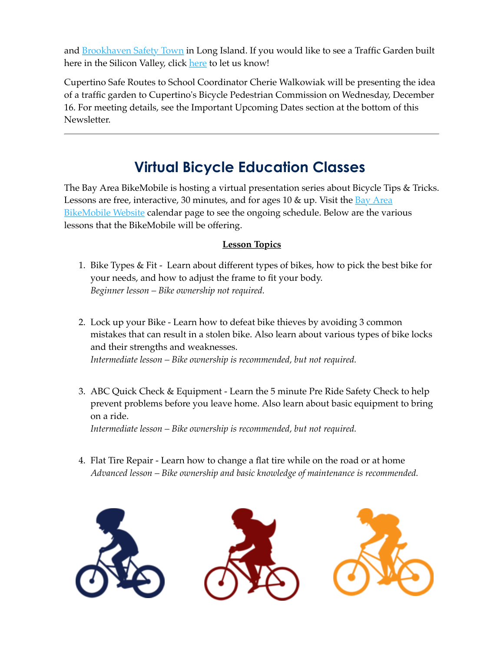and [Brookhaven Safety Town](https://lnks.gd/l/eyJhbGciOiJIUzI1NiJ9.eyJidWxsZXRpbl9saW5rX2lkIjoxMDQsInVyaSI6ImJwMjpjbGljayIsImJ1bGxldGluX2lkIjoiMjAyMDEyMTYuMzIxMjI2MDEiLCJ1cmwiOiJodHRwczovL3d3dy55b3V0dWJlLmNvbS93YXRjaD9mZWF0dXJlPWVtYl9sb2dvJnV0bV9tZWRpdW09ZW1haWwmdXRtX3NvdXJjZT1nb3ZkZWxpdmVyeSZ2PXlOcDNVZXdpVGNnIn0.5964Rysji7msl_57BZkYcNMUuVOLEmJuc0eFcWwdtjA/s/1253704401/br/91992471265-l) in Long Island. If you would like to see a Traffic Garden built [here](https://lnks.gd/l/eyJhbGciOiJIUzI1NiJ9.eyJidWxsZXRpbl9saW5rX2lkIjoxMDUsInVyaSI6ImJwMjpjbGljayIsImJ1bGxldGluX2lkIjoiMjAyMDEyMTYuMzIxMjI2MDEiLCJ1cmwiOiJodHRwczovL2RvY3MuZ29vZ2xlLmNvbS9mb3Jtcy9kL2UvMUZBSXBRTFNmNTdYRW9IYzIwMm9YMzA3WWRnWGlXTmJ5ZVZSRUQ0ZExqclNQd3pZYy1YaUUxNFEvdmlld2Zvcm0_dXNwPXNmX2xpbmsmdXRtX21lZGl1bT1lbWFpbCZ1dG1fc291cmNlPWdvdmRlbGl2ZXJ5In0.rTPtCX0OfNc3jJGTMjKKXEZ2bBTgJvy9t_XR6hpiIK4/s/1253704401/br/91992471265-l) in the Silicon Valley, click here to let us know!

Cupertino Safe Routes to School Coordinator Cherie Walkowiak will be presenting the idea of a traffic garden to Cupertino's Bicycle Pedestrian Commission on Wednesday, December 16. For meeting details, see the Important Upcoming Dates section at the bottom of this Newsletter.

# **Virtual Bicycle Education Classes**

The Bay Area BikeMobile is hosting a virtual presentation series about Bicycle Tips & Tricks. Lessons are free, interactive, 30 minutes, and for ages 10  $\&$  up. Visit the Bay Area BikeMobile Website calendar page to see the ongoing schedule. Below are the various lessons that the BikeMobile will be offering.

#### **Lesson Topics**

- 1. Bike Types & Fit Learn about different types of bikes, how to pick the best bike for your needs, and how to adjust the frame to fit your body. *Beginner lesson – Bike ownership not required.*
- 2. Lock up your Bike Learn how to defeat bike thieves by avoiding 3 common mistakes that can result in a stolen bike. Also learn about various types of bike locks and their strengths and weaknesses. *Intermediate lesson – Bike ownership is recommended, but not required.*
- 3. ABC Quick Check & Equipment Learn the 5 minute Pre Ride Safety Check to help prevent problems before you leave home. Also learn about basic equipment to bring on a ride.

*Intermediate lesson – Bike ownership is recommended, but not required.*

4. Flat Tire Repair - Learn how to change a flat tire while on the road or at home *Advanced lesson – Bike ownership and basic knowledge of maintenance is recommended.*

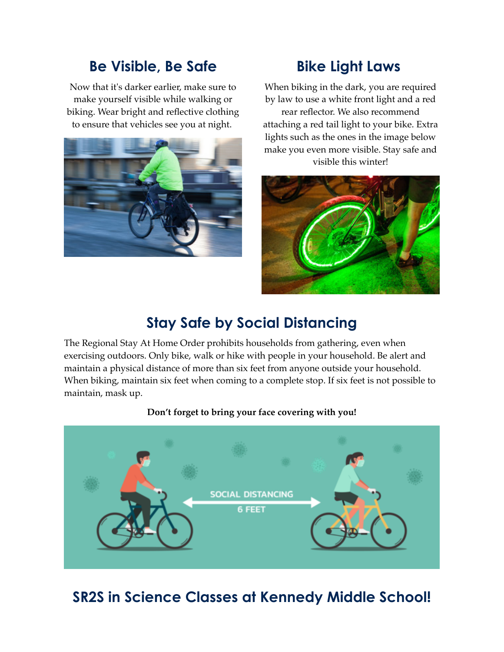### **Be Visible, Be Safe**

Now that it's darker earlier, make sure to make yourself visible while walking or biking. Wear bright and reflective clothing to ensure that vehicles see you at night.



# **Bike Light Laws**

When biking in the dark, you are required by law to use a white front light and a red rear reflector. We also recommend attaching a red tail light to your bike. Extra lights such as the ones in the image below make you even more visible. Stay safe and visible this winter!



# **Stay Safe by Social Distancing**

The Regional Stay At Home Order prohibits households from gathering, even when exercising outdoors. Only bike, walk or hike with people in your household. Be alert and maintain a physical distance of more than six feet from anyone outside your household. When biking, maintain six feet when coming to a complete stop. If six feet is not possible to maintain, mask up.

### **Don't forget to bring your face covering with you!**



# **SR2S in Science Classes at Kennedy Middle School!**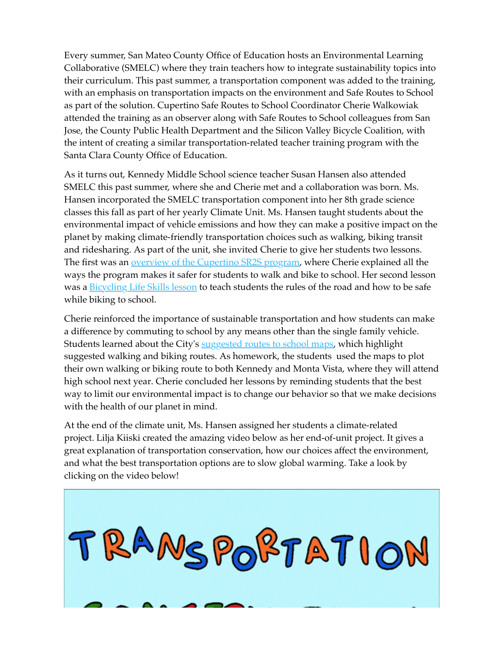Every summer, San Mateo County Office of Education hosts an Environmental Learning Collaborative (SMELC) where they train teachers how to integrate sustainability topics into their curriculum. This past summer, a transportation component was added to the training, with an emphasis on transportation impacts on the environment and Safe Routes to School as part of the solution. Cupertino Safe Routes to School Coordinator Cherie Walkowiak attended the training as an observer along with Safe Routes to School colleagues from San Jose, the County Public Health Department and the Silicon Valley Bicycle Coalition, with the intent of creating a similar transportation-related teacher training program with the Santa Clara County Office of Education.

As it turns out, Kennedy Middle School science teacher Susan Hansen also attended SMELC this past summer, where she and Cherie met and a collaboration was born. Ms. Hansen incorporated the SMELC transportation component into her 8th grade science classes this fall as part of her yearly Climate Unit. Ms. Hansen taught students about the environmental impact of vehicle emissions and how they can make a positive impact on the planet by making climate-friendly transportation choices such as walking, biking transit and ridesharing. As part of the unit, she invited Cherie to give her students two lessons. The first was an **overview of the Cupertino SR2S** program, where Cherie explained all the ways the program makes it safer for students to walk and bike to school. Her second lesson was a **[Bicycling Life Skills lesson](https://lnks.gd/l/eyJhbGciOiJIUzI1NiJ9.eyJidWxsZXRpbl9saW5rX2lkIjoxMDgsInVyaSI6ImJwMjpjbGljayIsImJ1bGxldGluX2lkIjoiMjAyMDEyMTYuMzIxMjI2MDEiLCJ1cmwiOiJodHRwczovL2RyaXZlLmdvb2dsZS5jb20vZmlsZS9kLzFDTVNSMjJVYl9xWmR5WkFmTWRqc0FKQk44WF9xcWRVVS92aWV3P3VzcD1zaGFyaW5nJnV0bV9tZWRpdW09ZW1haWwmdXRtX3NvdXJjZT1nb3ZkZWxpdmVyeSJ9.najV3JuF2jqITN-jp8V6nxbHidegp_QmzQ8Zc-WoVAo/s/1253704401/br/91992471265-l)** to teach students the rules of the road and how to be safe while biking to school.

Cherie reinforced the importance of sustainable transportation and how students can make a difference by commuting to school by any means other than the single family vehicle. Students learned about the City's [suggested routes to school maps](https://lnks.gd/l/eyJhbGciOiJIUzI1NiJ9.eyJidWxsZXRpbl9saW5rX2lkIjoxMDksInVyaSI6ImJwMjpjbGljayIsImJ1bGxldGluX2lkIjoiMjAyMDEyMTYuMzIxMjI2MDEiLCJ1cmwiOiJodHRwczovL3d3dy5jdXBlcnRpbm8ub3JnL291ci1jaXR5L2RlcGFydG1lbnRzL3B1YmxpYy13b3Jrcy90cmFuc3BvcnRhdGlvbi1tb2JpbGl0eS9zYWZlLXJvdXRlcy0yLXNjaG9vbC9zdWdnZXN0ZWQtcm91dGVzLXRvLXNjaG9vbC1tYXBzP3V0bV9tZWRpdW09ZW1haWwmdXRtX3NvdXJjZT1nb3ZkZWxpdmVyeSJ9.Rd3HgHSncXo0cZmHuUGt1U38zJns2caMPjHRv7XNXYE/s/1253704401/br/91992471265-l), which highlight suggested walking and biking routes. As homework, the students used the maps to plot their own walking or biking route to both Kennedy and Monta Vista, where they will attend high school next year. Cherie concluded her lessons by reminding students that the best way to limit our environmental impact is to change our behavior so that we make decisions with the health of our planet in mind.

At the end of the climate unit, Ms. Hansen assigned her students a climate-related project. Lilja Kiiski created the amazing video below as her end-of-unit project. It gives a great explanation of transportation conservation, how our choices affect the environment, and what the best transportation options are to slow global warming. Take a look by clicking on the video below!

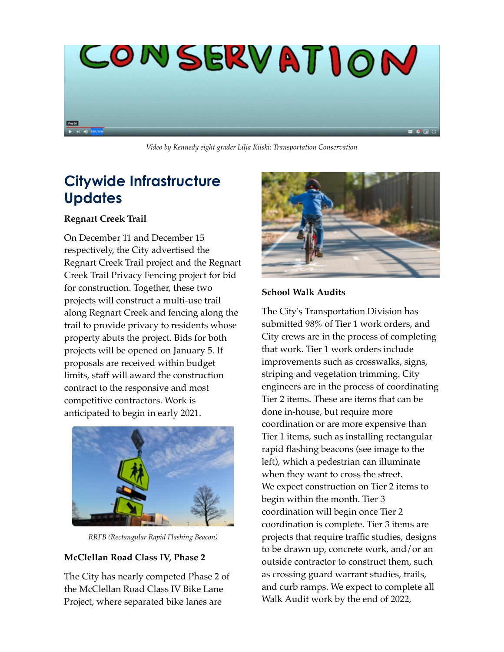

*Video by Kennedy eight grader Lilja Kiiski: Transportation Conservation*

# **Citywide Infrastructure Updates**

#### **Regnart Creek Trail**

On December 11 and December 15 respectively, the City advertised the Regnart Creek Trail project and the Regnart Creek Trail Privacy Fencing project for bid for construction. Together, these two projects will construct a multi-use trail along Regnart Creek and fencing along the trail to provide privacy to residents whose property abuts the project. Bids for both projects will be opened on January 5. If proposals are received within budget limits, staff will award the construction contract to the responsive and most competitive contractors. Work is anticipated to begin in early 2021.



*RRFB (Rectangular Rapid Flashing Beacon)*

#### **McClellan Road Class IV, Phase 2**

The City has nearly competed Phase 2 of the McClellan Road Class IV Bike Lane Project, where separated bike lanes are



#### **School Walk Audits**

The City's Transportation Division has submitted 98% of Tier 1 work orders, and City crews are in the process of completing that work. Tier 1 work orders include improvements such as crosswalks, signs, striping and vegetation trimming. City engineers are in the process of coordinating Tier 2 items. These are items that can be done in-house, but require more coordination or are more expensive than Tier 1 items, such as installing rectangular rapid flashing beacons (see image to the left), which a pedestrian can illuminate when they want to cross the street. We expect construction on Tier 2 items to begin within the month. Tier 3 coordination will begin once Tier 2 coordination is complete. Tier 3 items are projects that require traffic studies, designs to be drawn up, concrete work, and/or an outside contractor to construct them, such as crossing guard warrant studies, trails, and curb ramps. We expect to complete all Walk Audit work by the end of 2022,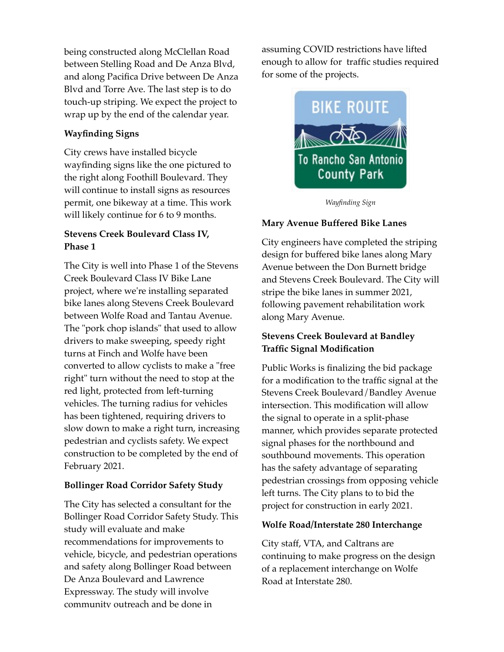being constructed along McClellan Road between Stelling Road and De Anza Blvd, and along Pacifica Drive between De Anza Blvd and Torre Ave. The last step is to do touch-up striping. We expect the project to wrap up by the end of the calendar year.

#### **Wayfinding Signs**

City crews have installed bicycle wayfinding signs like the one pictured to the right along Foothill Boulevard. They will continue to install signs as resources permit, one bikeway at a time. This work will likely continue for 6 to 9 months.

#### **Stevens Creek Boulevard Class IV, Phase 1**

The City is well into Phase 1 of the Stevens Creek Boulevard Class IV Bike Lane project, where we're installing separated bike lanes along Stevens Creek Boulevard between Wolfe Road and Tantau Avenue. The "pork chop islands" that used to allow drivers to make sweeping, speedy right turns at Finch and Wolfe have been converted to allow cyclists to make a "free right" turn without the need to stop at the red light, protected from left-turning vehicles. The turning radius for vehicles has been tightened, requiring drivers to slow down to make a right turn, increasing pedestrian and cyclists safety. We expect construction to be completed by the end of February 2021.

#### **Bollinger Road Corridor Safety Study**

The City has selected a consultant for the Bollinger Road Corridor Safety Study. This study will evaluate and make recommendations for improvements to vehicle, bicycle, and pedestrian operations and safety along Bollinger Road between De Anza Boulevard and Lawrence Expressway. The study will involve community outreach and be done in

assuming COVID restrictions have lifted enough to allow for traffic studies required for some of the projects.



*Wayfinding Sign*

#### **Mary Avenue Buffered Bike Lanes**

City engineers have completed the striping design for buffered bike lanes along Mary Avenue between the Don Burnett bridge and Stevens Creek Boulevard. The City will stripe the bike lanes in summer 2021, following pavement rehabilitation work along Mary Avenue.

#### **Stevens Creek Boulevard at Bandley Traffic Signal Modification**

Public Works is finalizing the bid package for a modification to the traffic signal at the Stevens Creek Boulevard/Bandley Avenue intersection. This modification will allow the signal to operate in a split-phase manner, which provides separate protected signal phases for the northbound and southbound movements. This operation has the safety advantage of separating pedestrian crossings from opposing vehicle left turns. The City plans to to bid the project for construction in early 2021.

#### **Wolfe Road/Interstate 280 Interchange**

City staff, VTA, and Caltrans are continuing to make progress on the design of a replacement interchange on Wolfe Road at Interstate 280.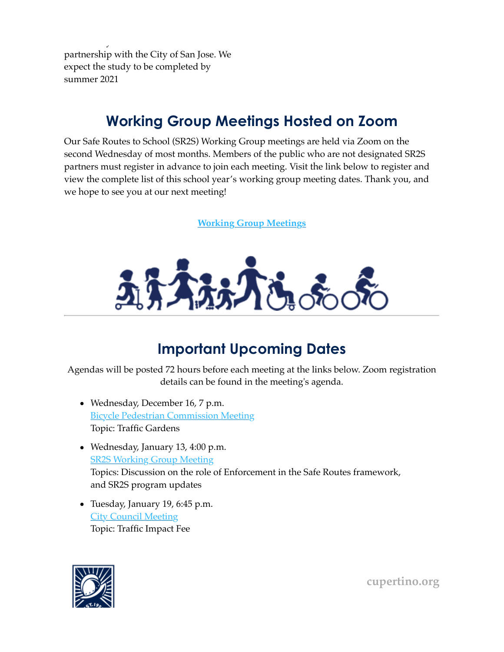community outreach and be done in the partnership with the City of San Jose. We expect the study to be completed by summer 2021

# **Working Group Meetings Hosted on Zoom**

Our Safe Routes to School (SR2S) Working Group meetings are held via Zoom on the second Wednesday of most months. Members of the public who are not designated SR2S partners must register in advance to join each meeting. Visit the link below to register and view the complete list of this school year's working group meeting dates. Thank you, and we hope to see you at our next meeting!

**[Working Group Meetings](https://lnks.gd/l/eyJhbGciOiJIUzI1NiJ9.eyJidWxsZXRpbl9saW5rX2lkIjoxMTEsInVyaSI6ImJwMjpjbGljayIsImJ1bGxldGluX2lkIjoiMjAyMDEyMTYuMzIxMjI2MDEiLCJ1cmwiOiJodHRwczovL3d3dy5jdXBlcnRpbm8ub3JnL291ci1jaXR5L2RlcGFydG1lbnRzL3B1YmxpYy13b3Jrcy90cmFuc3BvcnRhdGlvbi1tb2JpbGl0eS9zYWZlLXJvdXRlcy0yLXNjaG9vbC93b3JraW5nLWdyb3VwP3V0bV9tZWRpdW09ZW1haWwmdXRtX3NvdXJjZT1nb3ZkZWxpdmVyeSJ9.AtyTGYCzeYf7AYpcFgy9cxibcrNxD5x3EHkj4S-SesM/s/1253704401/br/91992471265-l)**



# **Important Upcoming Dates**

Agendas will be posted 72 hours before each meeting at the links below. Zoom registration details can be found in the meeting's agenda.

- Wednesday, December 16, 7 p.m. **[Bicycle Pedestrian Commission Meeting](https://lnks.gd/l/eyJhbGciOiJIUzI1NiJ9.eyJidWxsZXRpbl9saW5rX2lkIjoxMTIsInVyaSI6ImJwMjpjbGljayIsImJ1bGxldGluX2lkIjoiMjAyMDEyMTYuMzIxMjI2MDEiLCJ1cmwiOiJodHRwczovL2N1cGVydGluby5sZWdpc3Rhci5jb20vRGVwYXJ0bWVudERldGFpbC5hc3B4P0dVSUQ9REE0RUZEQkItMzU5Ri00NTM2LUI2QUUtRTNCRUQ0NDExMEIyJklEPTIyNzk0JlNlYXJjaD0mdXRtX21lZGl1bT1lbWFpbCZ1dG1fc291cmNlPWdvdmRlbGl2ZXJ5In0.lm7ZK-LYWvWZHPKnO9Uj6_uUeYB1jE-UA9F3niYUcpQ/s/1253704401/br/91992471265-l)** Topic: Traffic Gardens
- Wednesday, January 13, 4:00 p.m. **[SR2S Working Group Meeting](https://lnks.gd/l/eyJhbGciOiJIUzI1NiJ9.eyJidWxsZXRpbl9saW5rX2lkIjoxMTMsInVyaSI6ImJwMjpjbGljayIsImJ1bGxldGluX2lkIjoiMjAyMDEyMTYuMzIxMjI2MDEiLCJ1cmwiOiJodHRwczovL3d3dy5jdXBlcnRpbm8ub3JnL291ci1jaXR5L2RlcGFydG1lbnRzL3B1YmxpYy13b3Jrcy90cmFuc3BvcnRhdGlvbi1tb2JpbGl0eS9zYWZlLXJvdXRlcy0yLXNjaG9vbC93b3JraW5nLWdyb3VwP3V0bV9tZWRpdW09ZW1haWwmdXRtX3NvdXJjZT1nb3ZkZWxpdmVyeSJ9.sUwHIn1Qm9I5eK1xgLCPq_5BhipaU7x3jb136LdFLbg/s/1253704401/br/91992471265-l)** Topics: Discussion on the role of Enforcement in the Safe Routes framework, and SR2S program updates
- Tuesday, January 19, 6:45 p.m. [City Council Meeting](https://lnks.gd/l/eyJhbGciOiJIUzI1NiJ9.eyJidWxsZXRpbl9saW5rX2lkIjoxMTQsInVyaSI6ImJwMjpjbGljayIsImJ1bGxldGluX2lkIjoiMjAyMDEyMTYuMzIxMjI2MDEiLCJ1cmwiOiJodHRwczovL3d3dy5jdXBlcnRpbm8ub3JnL0hvbWUvQ29tcG9uZW50cy9DYWxlbmRhci9FdmVudC8xNDE0My8xOT9jdXJtPTEmY3VyeT0yMDIxJnV0bV9tZWRpdW09ZW1haWwmdXRtX3NvdXJjZT1nb3ZkZWxpdmVyeSJ9.TiiyKq70Mavx9qMUpDJ0EXF8XhPHWdM1LhHEZ0a8u54/s/1253704401/br/91992471265-l) Topic: Traffic Impact Fee



**[cupertino.org](https://lnks.gd/l/eyJhbGciOiJIUzI1NiJ9.eyJidWxsZXRpbl9saW5rX2lkIjoxMTUsInVyaSI6ImJwMjpjbGljayIsImJ1bGxldGluX2lkIjoiMjAyMDEyMTYuMzIxMjI2MDEiLCJ1cmwiOiJodHRwczovL3d3dy5jdXBlcnRpbm8ub3JnL2hvbWU_dXRtX21lZGl1bT1lbWFpbCZ1dG1fc291cmNlPWdvdmRlbGl2ZXJ5In0.sgDRx11MrRfiPfQeDoCV0rIt5SCqrGl3uynOx7aa-UQ/s/1253704401/br/91992471265-l)**